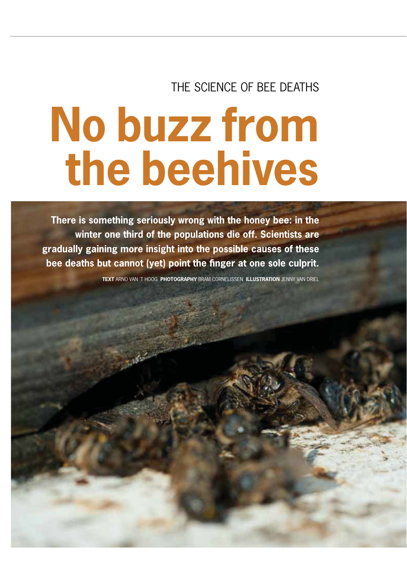## THE SCIENCE OF BEE DEATHS

# **No buzz from the beehives**

**There is something seriously wrong with the honey bee: in the winter one third of the populations die off. Scientists are gradually gaining more insight into the possible causes of these bee deaths but cannot (yet) point the finger at one sole culprit.** 

**TEXT** ARNO VAN 'T HOOG **PHOTOGRAPHY** BRAM CORNELISSEN **ILLUSTRATION** JENNY VAN DRIEL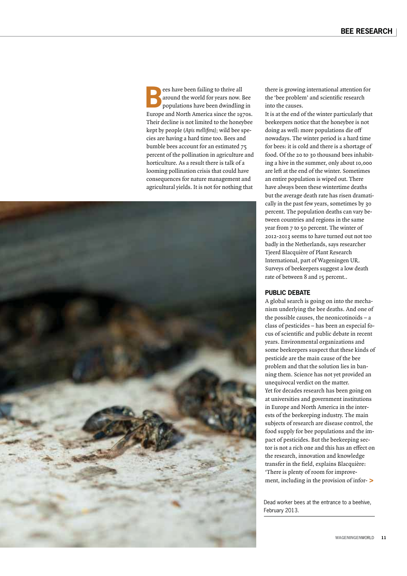ees have been failing to thrive all<br>around the world for years now. I<br>populations have been dwindling around the world for years now. Bee populations have been dwindling in Europe and North America since the 1970s. Their decline is not limited to the honeybee kept by people (Apis mellifera); wild bee species are having a hard time too. Bees and bumble bees account for an estimated 75 percent of the pollination in agriculture and horticulture. As a result there is talk of a looming pollination crisis that could have consequences for nature management and agricultural yields. It is not for nothing that



there is growing international attention for the 'bee problem' and scientific research into the causes.

It is at the end of the winter particularly that beekeepers notice that the honeybee is not doing as well: more populations die off nowadays. The winter period is a hard time for bees: it is cold and there is a shortage of food. Of the 20 to 30 thousand bees inhabiting a hive in the summer, only about 10,000 are left at the end of the winter. Sometimes an entire population is wiped out. There have always been these wintertime deaths but the average death rate has risen dramatically in the past few years, sometimes by 30 percent. The population deaths can vary between countries and regions in the same year from 7 to 50 percent. The winter of 2012-2013 seems to have turned out not too badly in the Netherlands, says researcher Tjeerd Blacquière of Plant Research International, part of Wageningen UR. Surveys of beekeepers suggest a low death rate of between 8 and 15 percent..

#### **PUBLIC DEBATE**

A global search is going on into the mechanism underlying the bee deaths. And one of the possible causes, the neonicotinoids – a class of pesticides – has been an especial focus of scientific and public debate in recent years. Environmental organizations and some beekeepers suspect that these kinds of pesticide are the main cause of the bee problem and that the solution lies in banning them. Science has not yet provided an unequivocal verdict on the matter. Yet for decades research has been going on at universities and government institutions in Europe and North America in the interests of the beekeeping industry. The main subjects of research are disease control, the food supply for bee populations and the impact of pesticides. But the beekeeping sector is not a rich one and this has an effect on the research, innovation and knowledge transfer in the field, explains Blacquière: 'There is plenty of room for improvement, including in the provision of infor-**>**

Dead worker bees at the entrance to a beehive, February 2013.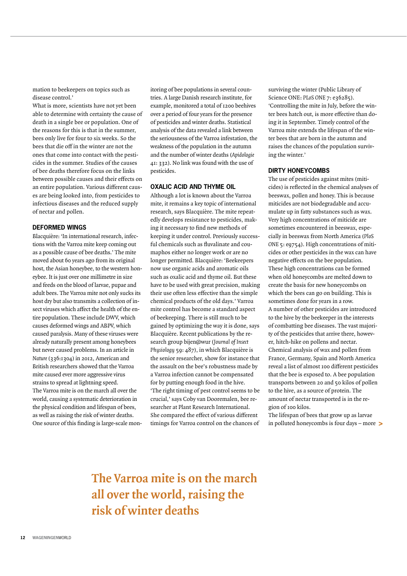mation to beekeepers on topics such as disease control.'

What is more, scientists have not yet been able to determine with certainty the cause of death in a single bee or population. One of the reasons for this is that in the summer, bees only live for four to six weeks. So the bees that die off in the winter are not the ones that come into contact with the pesticides in the summer. Studies of the causes of bee deaths therefore focus on the links between possible causes and their effects on an entire population. Various different causes are being looked into, from pesticides to infectious diseases and the reduced supply of nectar and pollen.

#### **DEFORMED WINGS**

Blacquière: 'In international research, infections with the Varroa mite keep coming out as a possible cause of bee deaths.' The mite moved about 60 years ago from its original host, the Asian honeybee, to the western honeybee. It is just over one millimetre in size and feeds on the blood of larvae, pupae and adult bees. The Varroa mite not only sucks its host dry but also transmits a collection of insect viruses which affect the health of the entire population. These include DWV, which causes deformed wings and ABPV, which caused paralysis. Many of these viruses were already naturally present among honeybees but never caused problems. In an article in Nature (336:1304) in 2012, American and British researchers showed that the Varroa mite caused ever more aggressive virus strains to spread at lightning speed. The Varroa mite is on the march all over the world, causing a systematic deterioration in the physical condition and lifespan of bees, as well as raising the risk of winter deaths. One source of this finding is large-scale monitoring of bee populations in several countries. A large Danish research institute, for example, monitored a total of 1200 beehives over a period of four years for the presence of pesticides and winter deaths. Statistical analysis of the data revealed a link between the seriousness of the Varroa infestation, the weakness of the population in the autumn and the number of winter deaths (Apidologie 41: 332). No link was found with the use of pesticides.

#### **OXALIC ACID AND THYME OIL**

Although a lot is known about the Varroa mite, it remains a key topic of international research, says Blacquière. The mite repeatedly develops resistance to pesticides, making it necessary to find new methods of keeping it under control. Previously successful chemicals such as fluvalinate and coumaphos either no longer work or are no longer permitted. Blacquière: 'Beekeepers now use organic acids and aromatic oils such as oxalic acid and thyme oil. But these have to be used with great precision, making their use often less effective than the simple chemical products of the old days.' Varroa mite control has become a standard aspect of beekeeping. There is still much to be gained by optimizing the way it is done, says Blacquière. Recent publications by the research group bijen@wur (Journal of Insect Physiology 59: 487), in which Blacquière is the senior researcher, show for instance that the assault on the bee's robustness made by a Varroa infection cannot be compensated for by putting enough food in the hive. 'The right timing of pest control seems to be crucial,' says Coby van Dooremalen, bee researcher at Plant Research International. She compared the effect of various different timings for Varroa control on the chances of

surviving the winter (Public Library of Science ONE: PLoS ONE 7: e36285). 'Controlling the mite in July, before the winter bees hatch out, is more effective than doing it in September. Timely control of the Varroa mite extends the lifespan of the winter bees that are born in the autumn and raises the chances of the population surviving the winter.'

#### **DIRTY HONEYCOMBS**

The use of pesticides against mites (miticides) is reflected in the chemical analyses of beeswax, pollen and honey. This is because miticides are not biodegradable and accumulate up in fatty substances such as wax. Very high concentrations of miticide are sometimes encountered in beeswax, especially in beeswax from North America (PloS ONE 5: e9754). High concentrations of miticides or other pesticides in the wax can have negative effects on the bee population. These high concentrations can be formed when old honeycombs are melted down to create the basis for new honeycombs on which the bees can go on building. This is sometimes done for years in a row. A number of other pesticides are introduced to the hive by the beekeeper in the interests of combatting bee diseases. The vast majority of the pesticides that arrive there, however, hitch-hike on pollens and nectar. Chemical analysis of wax and pollen from France, Germany, Spain and North America reveal a list of almost 100 different pesticides that the bee is exposed to. A bee population transports between 20 and 50 kilos of pollen to the hive, as a source of protein. The amount of nectar transported is in the region of 100 kilos.

The lifespan of bees that grow up as larvae in polluted honeycombs is four days – more **>**

**The Varroa mite is on the march all over the world, raising the risk of winter deaths**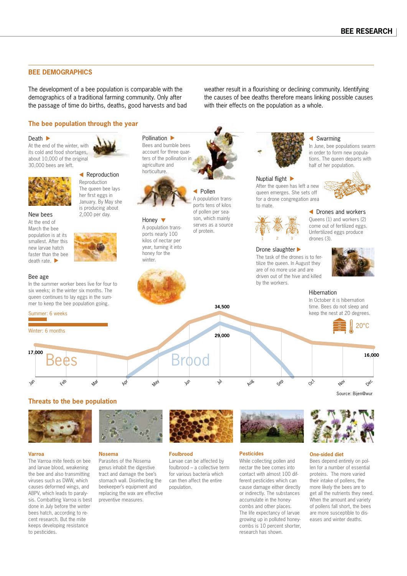#### **BEE DEMOGRAPHICS**

The development of a bee population is comparable with the demographics of a traditional farming community. Only after the passage of time do births, deaths, good harvests and bad weather result in a flourishing or declining community. Identifying the causes of bee deaths therefore means linking possible causes with their effects on the population as a whole.

#### **The bee population through the year**

#### Death  $\blacktriangleright$

At the end of the winter, with its cold and food shortages, about 10,000 of the original 30,000 bees are left.



#### **Exercise Reproduction** Reproduction The queen bee lays her first eggs in January. By May she

is producing about

New bees 2,000 per day. At the end of March the bee population is at its smallest. After this new larvae hatch faster than the bee death rate.



#### Bee age

In the summer worker bees live for four to six weeks; in the winter six months. The queen continues to lay eggs in the summer to keep the bee population going.



#### Winter: 6 months

Jan

**Varroa**

to pesticides.



Pollination  $\blacktriangleright$ Bees and bumble bees account for three quarters of the pollination in agriculture and horticulture.



Honey  $\blacktriangledown$ A population transports nearly 100 kilos of nectar per year, turning it into honey for the winter.

**Exercise** A population transports tens of kilos of pollen per season, which mainly serves as a source of protein.



### Nuptial flight  $\blacktriangleright$

After the queen has left a new queen emerges. She sets off for a drone congregation area to mate.



#### Drone slaughter

The task of the drones is to fertilize the queen. In August they are of no more use and are driven out of the hive and killed by the workers.



In June, bee populations swarm in order to form new populations. The queen departs with

 Drones and workers Queens (1) and workers (2) come out of fertilized eggs. Unfertilized eggs produce  $dr$ nnes  $(3)$ 

Swarming



#### Hibernation

In October it is hibernation time. Bees do not sleep and keep the nest at 20 degrees.



**34,500**

Source: Bijen@wur

#### **Threats to the bee population**



The Varroa mite feeds on bee and larvae blood, weakening the bee and also transmitting viruses such as DWW, which causes deformed wings, and ABPV, which leads to paralysis. Combatting Varroa is best done in July before the winter bees hatch, according to recent research. But the mite keeps developing resistance

#### **Nosema**

Parasites of the Nosema genus inhabit the digestive tract and damage the bee's stomach wall. Disinfecting the beekeeper's equipment and replacing the wax are effective preventive measures.



#### **Foulbrood**

Larvae can be affected by foulbrood – a collective term for various bacteria which can then affect the entire population.



#### **Pesticides**

While collecting pollen and nectar the bee comes into contact with almost 100 different pesticides which can cause damage either directly or indirectly. The substances accumulate in the honeycombs and other places. The life expectancy of larvae growing up in polluted honeycombs is 10 percent shorter, research has shown.

#### **One-sided diet**

len for a number of essential proteins. The more varied their intake of pollens, the more likely the bees are to get all the nutrients they need. When the amount and variety of pollens fall short, the bees are more susceptible to diseases and winter deaths.

Bees depend entirely on pol-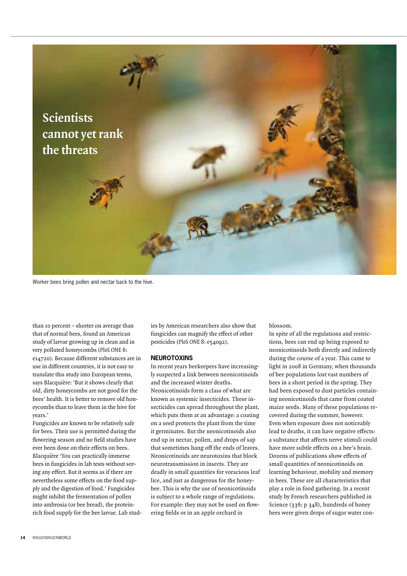

Worker bees bring pollen and nectar back to the hive.

than 10 percent – shorter on average than that of normal bees, found an American study of larvae growing up in clean and in very polluted honeycombs (PloS ONE 6: e14720). Because different substances are in use in different countries, it is not easy to translate this study into European terms, says Blacquière: 'But it shows clearly that old, dirty honeycombs are not good for the bees' health. It is better to remove old honeycombs than to leave them in the hive for years.'

Fungicides are known to be relatively safe for bees. Their use is permitted during the flowering season and no field studies have ever been done on their effects on bees. Blacquière 'You can practically immerse bees in fungicides in lab tests without seeing any effect. But it seems as if there are nevertheless some effects on the food supply and the digestion of food.' Fungicides might inhibit the fermentation of pollen into ambrosia (or bee bread), the proteinrich food supply for the bee larvae. Lab studies by American researchers also show that fungicides can magnify the effect of other pesticides (PloS ONE 8: e54092).

#### **NEUROTOXINS**

In recent years beekeepers have increasingly suspected a link between neonicotinoids and the increased winter deaths. Neonicotinoids form a class of what are known as systemic insecticides. These insecticides can spread throughout the plant, which puts them at an advantage: a coating on a seed protects the plant from the time it germinates. But the neonicotinoids also end up in nectar, pollen, and drops of sap that sometimes hang off the ends of leaves. Neonicotinoids are neurotoxins that block neurotransmission in insects. They are deadly in small quantities for voracious leaf lice, and just as dangerous for the honeybee. This is why the use of neonicotinoids is subject to a whole range of regulations. For example: they may not be used on flowering fields or in an apple orchard in

blossom.

In spite of all the regulations and restrictions, bees can end up being exposed to neonicotinoids both directly and indirectly during the course of a year. This came to light in 2008 in Germany, when thousands of bee populations lost vast numbers of bees in a short period in the spring. They had been exposed to dust particles containing neonicotinoids that came from coated maize seeds. Many of these populations recovered during the summer, however. Even when exposure does not noticeably lead to deaths, it can have negative effects: a substance that affects nerve stimuli could have more subtle effects on a bee's brain. Dozens of publications show effects of small quantities of neonicotinoids on learning behaviour, mobility and memory in bees. These are all characteristics that play a role in food gathering. In a recent study by French researchers published in Science (336; p 348), hundreds of honey bees were given drops of sugar water con